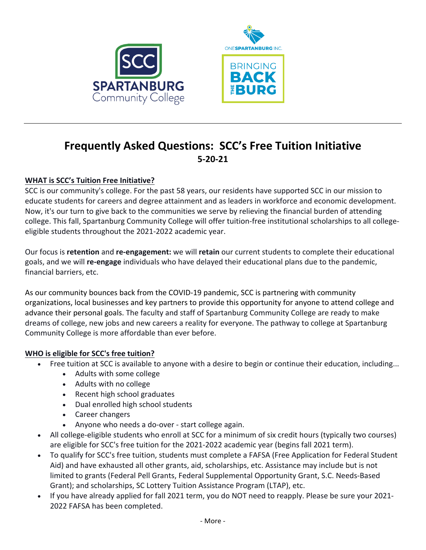



# **Frequently Asked Questions: SCC's Free Tuition Initiative 5-20-21**

# **WHAT** is SCC's Tuition Free Initiative?

SCC is our community's college. For the past 58 years, our residents have supported SCC in our mission to educate students for careers and degree attainment and as leaders in workforce and economic development. Now, it's our turn to give back to the communities we serve by relieving the financial burden of attending college. This fall, Spartanburg Community College will offer tuition-free institutional scholarships to all collegeeligible students throughout the 2021-2022 academic year.

Our focus is retention and re-engagement: we will retain our current students to complete their educational goals, and we will **re-engage** individuals who have delayed their educational plans due to the pandemic, financial barriers, etc.

As our community bounces back from the COVID-19 pandemic, SCC is partnering with community organizations, local businesses and key partners to provide this opportunity for anyone to attend college and advance their personal goals. The faculty and staff of Spartanburg Community College are ready to make dreams of college, new jobs and new careers a reality for everyone. The pathway to college at Spartanburg Community College is more affordable than ever before.

# **WHO** is eligible for SCC's free tuition?

- Free tuition at SCC is available to anyone with a desire to begin or continue their education, including...
	- Adults with some college
	- Adults with no college
	- Recent high school graduates
	- Dual enrolled high school students
	- Career changers
	- Anyone who needs a do-over start college again.
- All college-eligible students who enroll at SCC for a minimum of six credit hours (typically two courses) are eligible for SCC's free tuition for the 2021-2022 academic year (begins fall 2021 term).
- To qualify for SCC's free tuition, students must complete a FAFSA (Free Application for Federal Student Aid) and have exhausted all other grants, aid, scholarships, etc. Assistance may include but is not limited to grants (Federal Pell Grants, Federal Supplemental Opportunity Grant, S.C. Needs-Based Grant); and scholarships, SC Lottery Tuition Assistance Program (LTAP), etc.
- If you have already applied for fall 2021 term, you do NOT need to reapply. Please be sure your 2021-2022 FAFSA has been completed.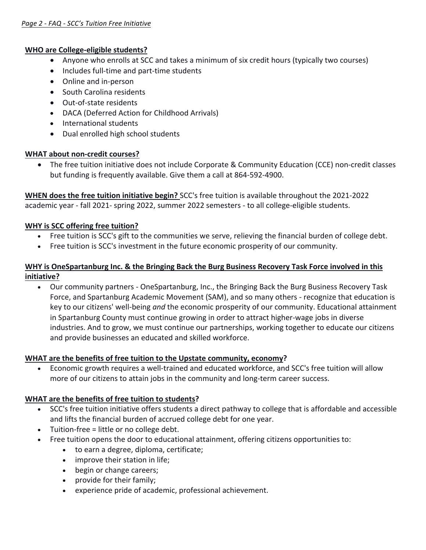#### **WHO** are College-eligible students?

- Anyone who enrolls at SCC and takes a minimum of six credit hours (typically two courses)
- Includes full-time and part-time students
- Online and in-person
- South Carolina residents
- Out-of-state residents
- DACA (Deferred Action for Childhood Arrivals)
- International students
- Dual enrolled high school students

#### **WHAT** about non-credit courses?

• The free tuition initiative does not include Corporate & Community Education (CCE) non-credit classes but funding is frequently available. Give them a call at 864-592-4900.

**WHEN does the free tuition initiative begin?** SCC's free tuition is available throughout the 2021-2022 academic year - fall 2021- spring 2022, summer 2022 semesters - to all college-eligible students.

#### **WHY** is SCC offering free tuition?

- Free tuition is SCC's gift to the communities we serve, relieving the financial burden of college debt.
- Free tuition is SCC's investment in the future economic prosperity of our community.

### WHY is OneSpartanburg Inc. & the Bringing Back the Burg Business Recovery Task Force involved in this **initiative?**

• Our community partners - OneSpartanburg, Inc., the Bringing Back the Burg Business Recovery Task Force, and Spartanburg Academic Movement (SAM), and so many others - recognize that education is key to our citizens' well-being *and* the economic prosperity of our community. Educational attainment in Spartanburg County must continue growing in order to attract higher-wage jobs in diverse industries. And to grow, we must continue our partnerships, working together to educate our citizens and provide businesses an educated and skilled workforce.

#### **WHAT** are the benefits of free tuition to the Upstate community, economy?

Economic growth requires a well-trained and educated workforce, and SCC's free tuition will allow more of our citizens to attain jobs in the community and long-term career success.

# **WHAT** are the benefits of free tuition to students?

- SCC's free tuition initiative offers students a direct pathway to college that is affordable and accessible and lifts the financial burden of accrued college debt for one year.
- Tuition-free = little or no college debt.
- Free tuition opens the door to educational attainment, offering citizens opportunities to:
	- to earn a degree, diploma, certificate;
	- improve their station in life:
	- begin or change careers;
	- provide for their family;
	- experience pride of academic, professional achievement.